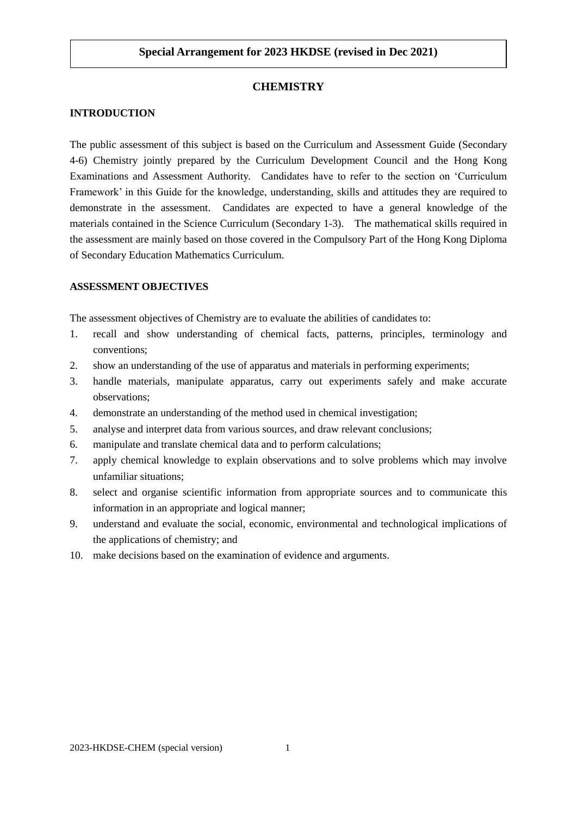# **CHEMISTRY**

## **INTRODUCTION**

The public assessment of this subject is based on the Curriculum and Assessment Guide (Secondary 4-6) Chemistry jointly prepared by the Curriculum Development Council and the Hong Kong Examinations and Assessment Authority. Candidates have to refer to the section on 'Curriculum Framework' in this Guide for the knowledge, understanding, skills and attitudes they are required to demonstrate in the assessment. Candidates are expected to have a general knowledge of the materials contained in the Science Curriculum (Secondary 1-3). The mathematical skills required in the assessment are mainly based on those covered in the Compulsory Part of the Hong Kong Diploma of Secondary Education Mathematics Curriculum.

## **ASSESSMENT OBJECTIVES**

The assessment objectives of Chemistry are to evaluate the abilities of candidates to:

- 1. recall and show understanding of chemical facts, patterns, principles, terminology and conventions;
- 2. show an understanding of the use of apparatus and materials in performing experiments;
- 3. handle materials, manipulate apparatus, carry out experiments safely and make accurate observations;
- 4. demonstrate an understanding of the method used in chemical investigation;
- 5. analyse and interpret data from various sources, and draw relevant conclusions;
- 6. manipulate and translate chemical data and to perform calculations;
- 7. apply chemical knowledge to explain observations and to solve problems which may involve unfamiliar situations;
- 8. select and organise scientific information from appropriate sources and to communicate this information in an appropriate and logical manner;
- 9. understand and evaluate the social, economic, environmental and technological implications of the applications of chemistry; and
- 10. make decisions based on the examination of evidence and arguments.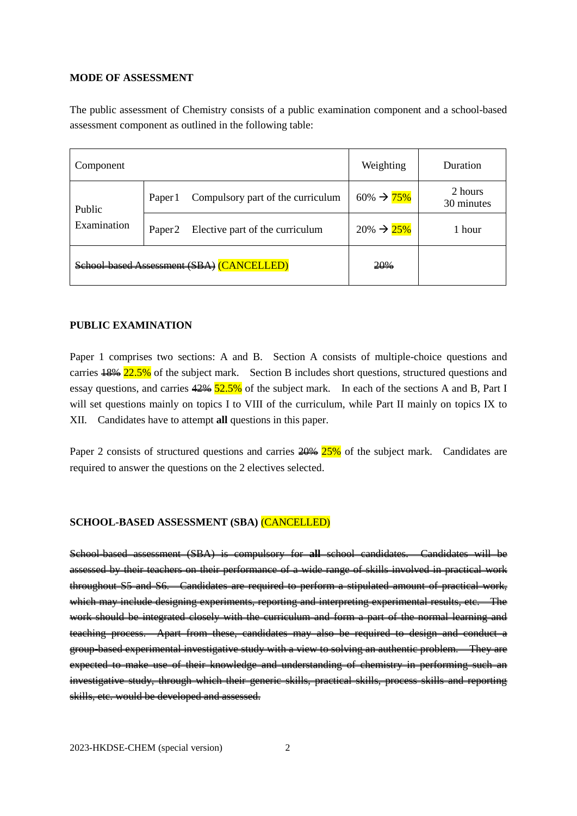### **MODE OF ASSESSMENT**

The public assessment of Chemistry consists of a public examination component and a school-based assessment component as outlined in the following table:

| Component                                 |                    |                                   | Weighting               | Duration              |
|-------------------------------------------|--------------------|-----------------------------------|-------------------------|-----------------------|
| Public<br>Examination                     | Paper 1            | Compulsory part of the curriculum | $60\% \rightarrow 75\%$ | 2 hours<br>30 minutes |
|                                           | Paper <sub>2</sub> | Elective part of the curriculum   | $20\% \rightarrow 25\%$ | 1 hour                |
| School-based Assessment (SBA) (CANCELLED) |                    |                                   | 20%                     |                       |

### **PUBLIC EXAMINATION**

Paper 1 comprises two sections: A and B. Section A consists of multiple-choice questions and carries  $\frac{18}{12.5\%}$  of the subject mark. Section B includes short questions, structured questions and essay questions, and carries  $\frac{42\%}{52.5\%}$  of the subject mark. In each of the sections A and B, Part I will set questions mainly on topics I to VIII of the curriculum, while Part II mainly on topics IX to XII. Candidates have to attempt **all** questions in this paper.

Paper 2 consists of structured questions and carries  $\frac{20\%}{25\%}$  of the subject mark. Candidates are required to answer the questions on the 2 electives selected.

#### **SCHOOL-BASED ASSESSMENT (SBA)** (CANCELLED)

School-based assessment (SBA) is compulsory for **all** school candidates. Candidates will be assessed by their teachers on their performance of a wide range of skills involved in practical work throughout S5 and S6. Candidates are required to perform a stipulated amount of practical work, which may include designing experiments, reporting and interpreting experimental results, etc. The work should be integrated closely with the curriculum and form a part of the normal learning and teaching process. Apart from these, candidates may also be required to design and conduct a group-based experimental investigative study with a view to solving an authentic problem. They are expected to make use of their knowledge and understanding of chemistry in performing such an investigative study, through which their generic skills, practical skills, process skills and reporting skills, etc. would be developed and assessed.